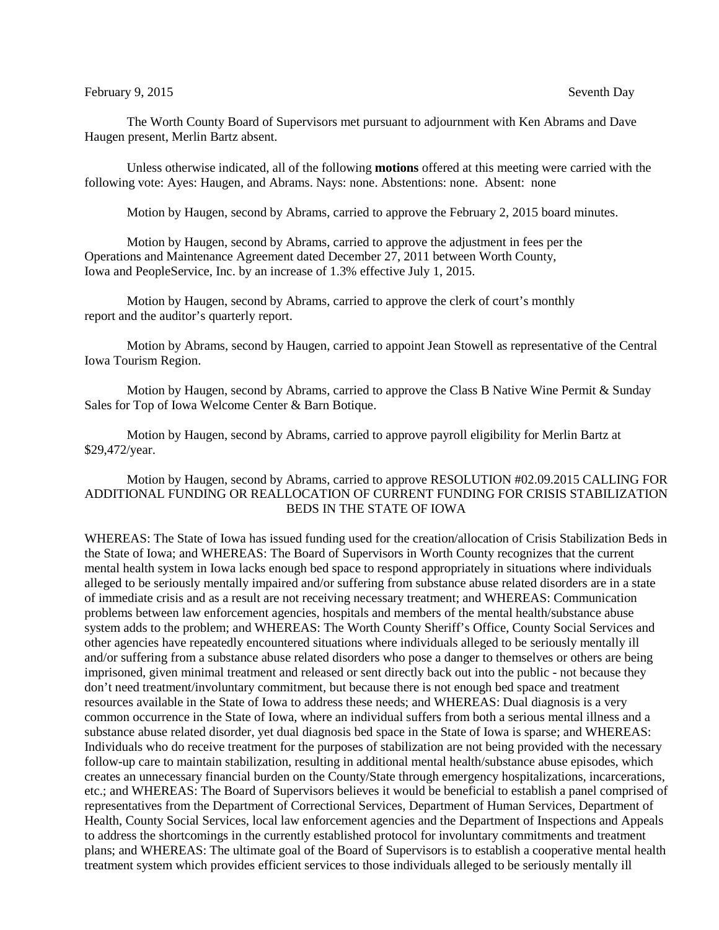## February 9, 2015 Seventh Day

The Worth County Board of Supervisors met pursuant to adjournment with Ken Abrams and Dave Haugen present, Merlin Bartz absent.

Unless otherwise indicated, all of the following **motions** offered at this meeting were carried with the following vote: Ayes: Haugen, and Abrams. Nays: none. Abstentions: none. Absent: none

Motion by Haugen, second by Abrams, carried to approve the February 2, 2015 board minutes.

Motion by Haugen, second by Abrams, carried to approve the adjustment in fees per the Operations and Maintenance Agreement dated December 27, 2011 between Worth County, Iowa and PeopleService, Inc. by an increase of 1.3% effective July 1, 2015.

Motion by Haugen, second by Abrams, carried to approve the clerk of court's monthly report and the auditor's quarterly report.

Motion by Abrams, second by Haugen, carried to appoint Jean Stowell as representative of the Central Iowa Tourism Region.

Motion by Haugen, second by Abrams, carried to approve the Class B Native Wine Permit & Sunday Sales for Top of Iowa Welcome Center & Barn Botique.

Motion by Haugen, second by Abrams, carried to approve payroll eligibility for Merlin Bartz at \$29,472/year.

## Motion by Haugen, second by Abrams, carried to approve RESOLUTION #02.09.2015 CALLING FOR ADDITIONAL FUNDING OR REALLOCATION OF CURRENT FUNDING FOR CRISIS STABILIZATION BEDS IN THE STATE OF IOWA

WHEREAS: The State of Iowa has issued funding used for the creation/allocation of Crisis Stabilization Beds in the State of Iowa; and WHEREAS: The Board of Supervisors in Worth County recognizes that the current mental health system in Iowa lacks enough bed space to respond appropriately in situations where individuals alleged to be seriously mentally impaired and/or suffering from substance abuse related disorders are in a state of immediate crisis and as a result are not receiving necessary treatment; and WHEREAS: Communication problems between law enforcement agencies, hospitals and members of the mental health/substance abuse system adds to the problem; and WHEREAS: The Worth County Sheriff's Office, County Social Services and other agencies have repeatedly encountered situations where individuals alleged to be seriously mentally ill and/or suffering from a substance abuse related disorders who pose a danger to themselves or others are being imprisoned, given minimal treatment and released or sent directly back out into the public - not because they don't need treatment/involuntary commitment, but because there is not enough bed space and treatment resources available in the State of Iowa to address these needs; and WHEREAS: Dual diagnosis is a very common occurrence in the State of Iowa, where an individual suffers from both a serious mental illness and a substance abuse related disorder, yet dual diagnosis bed space in the State of Iowa is sparse; and WHEREAS: Individuals who do receive treatment for the purposes of stabilization are not being provided with the necessary follow-up care to maintain stabilization, resulting in additional mental health/substance abuse episodes, which creates an unnecessary financial burden on the County/State through emergency hospitalizations, incarcerations, etc.; and WHEREAS: The Board of Supervisors believes it would be beneficial to establish a panel comprised of representatives from the Department of Correctional Services, Department of Human Services, Department of Health, County Social Services, local law enforcement agencies and the Department of Inspections and Appeals to address the shortcomings in the currently established protocol for involuntary commitments and treatment plans; and WHEREAS: The ultimate goal of the Board of Supervisors is to establish a cooperative mental health treatment system which provides efficient services to those individuals alleged to be seriously mentally ill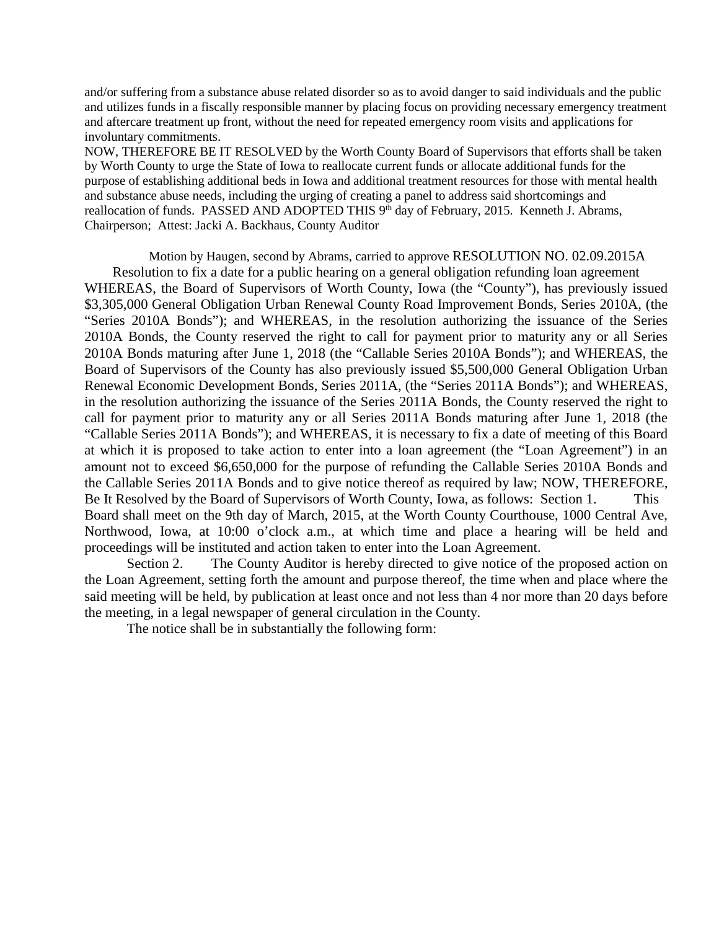and/or suffering from a substance abuse related disorder so as to avoid danger to said individuals and the public and utilizes funds in a fiscally responsible manner by placing focus on providing necessary emergency treatment and aftercare treatment up front, without the need for repeated emergency room visits and applications for involuntary commitments.

NOW, THEREFORE BE IT RESOLVED by the Worth County Board of Supervisors that efforts shall be taken by Worth County to urge the State of Iowa to reallocate current funds or allocate additional funds for the purpose of establishing additional beds in Iowa and additional treatment resources for those with mental health and substance abuse needs, including the urging of creating a panel to address said shortcomings and reallocation of funds. PASSED AND ADOPTED THIS 9<sup>th</sup> day of February, 2015. Kenneth J. Abrams, Chairperson; Attest: Jacki A. Backhaus, County Auditor

Motion by Haugen, second by Abrams, carried to approve RESOLUTION NO. 02.09.2015A Resolution to fix a date for a public hearing on a general obligation refunding loan agreement WHEREAS, the Board of Supervisors of Worth County, Iowa (the "County"), has previously issued \$3,305,000 General Obligation Urban Renewal County Road Improvement Bonds, Series 2010A, (the "Series 2010A Bonds"); and WHEREAS, in the resolution authorizing the issuance of the Series 2010A Bonds, the County reserved the right to call for payment prior to maturity any or all Series 2010A Bonds maturing after June 1, 2018 (the "Callable Series 2010A Bonds"); and WHEREAS, the Board of Supervisors of the County has also previously issued \$5,500,000 General Obligation Urban Renewal Economic Development Bonds, Series 2011A, (the "Series 2011A Bonds"); and WHEREAS, in the resolution authorizing the issuance of the Series 2011A Bonds, the County reserved the right to call for payment prior to maturity any or all Series 2011A Bonds maturing after June 1, 2018 (the "Callable Series 2011A Bonds"); and WHEREAS, it is necessary to fix a date of meeting of this Board at which it is proposed to take action to enter into a loan agreement (the "Loan Agreement") in an amount not to exceed \$6,650,000 for the purpose of refunding the Callable Series 2010A Bonds and the Callable Series 2011A Bonds and to give notice thereof as required by law; NOW, THEREFORE, Be It Resolved by the Board of Supervisors of Worth County, Iowa, as follows: Section 1. This Board shall meet on the 9th day of March, 2015, at the Worth County Courthouse, 1000 Central Ave, Northwood, Iowa, at 10:00 o'clock a.m., at which time and place a hearing will be held and proceedings will be instituted and action taken to enter into the Loan Agreement.

Section 2. The County Auditor is hereby directed to give notice of the proposed action on the Loan Agreement, setting forth the amount and purpose thereof, the time when and place where the said meeting will be held, by publication at least once and not less than 4 nor more than 20 days before the meeting, in a legal newspaper of general circulation in the County.

The notice shall be in substantially the following form: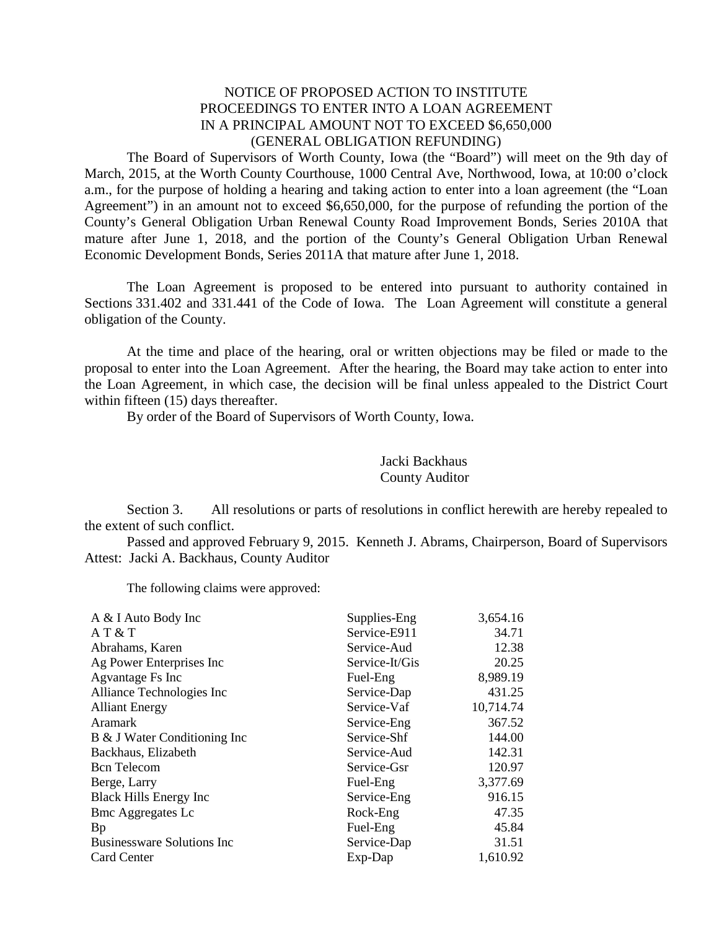## NOTICE OF PROPOSED ACTION TO INSTITUTE PROCEEDINGS TO ENTER INTO A LOAN AGREEMENT IN A PRINCIPAL AMOUNT NOT TO EXCEED \$6,650,000 (GENERAL OBLIGATION REFUNDING)

The Board of Supervisors of Worth County, Iowa (the "Board") will meet on the 9th day of March, 2015, at the Worth County Courthouse, 1000 Central Ave, Northwood, Iowa, at 10:00 o'clock a.m., for the purpose of holding a hearing and taking action to enter into a loan agreement (the "Loan Agreement") in an amount not to exceed \$6,650,000, for the purpose of refunding the portion of the County's General Obligation Urban Renewal County Road Improvement Bonds, Series 2010A that mature after June 1, 2018, and the portion of the County's General Obligation Urban Renewal Economic Development Bonds, Series 2011A that mature after June 1, 2018.

The Loan Agreement is proposed to be entered into pursuant to authority contained in Sections 331.402 and 331.441 of the Code of Iowa. The Loan Agreement will constitute a general obligation of the County.

At the time and place of the hearing, oral or written objections may be filed or made to the proposal to enter into the Loan Agreement. After the hearing, the Board may take action to enter into the Loan Agreement, in which case, the decision will be final unless appealed to the District Court within fifteen (15) days thereafter.

By order of the Board of Supervisors of Worth County, Iowa.

## Jacki Backhaus County Auditor

Section 3. All resolutions or parts of resolutions in conflict herewith are hereby repealed to the extent of such conflict.

Passed and approved February 9, 2015. Kenneth J. Abrams, Chairperson, Board of Supervisors Attest: Jacki A. Backhaus, County Auditor

The following claims were approved:

| A & I Auto Body Inc                | Supplies-Eng   | 3,654.16  |
|------------------------------------|----------------|-----------|
| AT & T                             | Service-E911   | 34.71     |
| Abrahams, Karen                    | Service-Aud    | 12.38     |
| Ag Power Enterprises Inc           | Service-It/Gis | 20.25     |
| Agvantage Fs Inc                   | Fuel-Eng       | 8,989.19  |
| Alliance Technologies Inc          | Service-Dap    | 431.25    |
| <b>Alliant Energy</b>              | Service-Vaf    | 10,714.74 |
| Aramark                            | Service-Eng    | 367.52    |
| B & J Water Conditioning Inc       | Service-Shf    | 144.00    |
| Backhaus, Elizabeth                | Service-Aud    | 142.31    |
| <b>Bcn</b> Telecom                 | Service-Gsr    | 120.97    |
| Berge, Larry                       | Fuel-Eng       | 3,377.69  |
| <b>Black Hills Energy Inc</b>      | Service-Eng    | 916.15    |
| <b>Bmc Aggregates Lc</b>           | Rock-Eng       | 47.35     |
| Bp                                 | Fuel-Eng       | 45.84     |
| <b>Businessware Solutions Inc.</b> | Service-Dap    | 31.51     |
| Card Center                        | Exp-Dap        | 1,610.92  |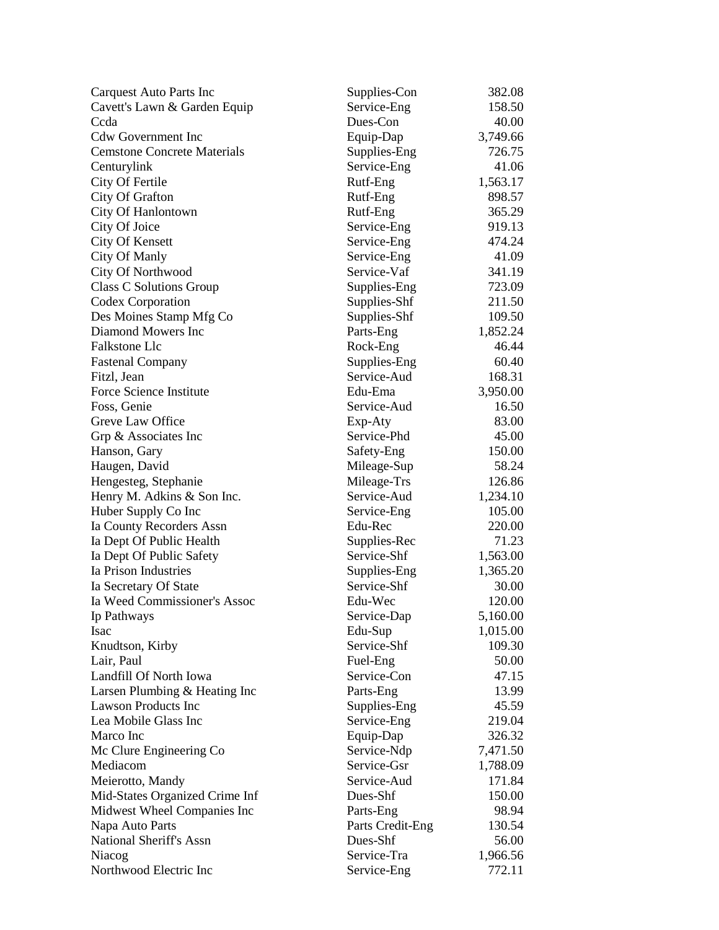| Carquest Auto Parts Inc            | Supplies-Con     | 382.08   |
|------------------------------------|------------------|----------|
| Cavett's Lawn & Garden Equip       | Service-Eng      | 158.50   |
| Ccda                               | Dues-Con         | 40.00    |
| <b>Cdw Government Inc</b>          | Equip-Dap        | 3,749.66 |
| <b>Cemstone Concrete Materials</b> | Supplies-Eng     | 726.75   |
| Centurylink                        | Service-Eng      | 41.06    |
| City Of Fertile                    | Rutf-Eng         | 1,563.17 |
| City Of Grafton                    | Rutf-Eng         | 898.57   |
| City Of Hanlontown                 | Rutf-Eng         | 365.29   |
| City Of Joice                      | Service-Eng      | 919.13   |
| <b>City Of Kensett</b>             | Service-Eng      | 474.24   |
| City Of Manly                      | Service-Eng      | 41.09    |
| City Of Northwood                  | Service-Vaf      | 341.19   |
| Class C Solutions Group            | Supplies-Eng     | 723.09   |
| Codex Corporation                  | Supplies-Shf     | 211.50   |
| Des Moines Stamp Mfg Co            | Supplies-Shf     | 109.50   |
| Diamond Mowers Inc                 | Parts-Eng        | 1,852.24 |
| <b>Falkstone Llc</b>               | Rock-Eng         | 46.44    |
| <b>Fastenal Company</b>            | Supplies-Eng     | 60.40    |
| Fitzl, Jean                        | Service-Aud      | 168.31   |
| Force Science Institute            | Edu-Ema          | 3,950.00 |
| Foss, Genie                        | Service-Aud      | 16.50    |
| Greve Law Office                   | Exp-Aty          | 83.00    |
| Grp & Associates Inc               | Service-Phd      | 45.00    |
| Hanson, Gary                       | Safety-Eng       | 150.00   |
| Haugen, David                      | Mileage-Sup      | 58.24    |
| Hengesteg, Stephanie               | Mileage-Trs      | 126.86   |
| Henry M. Adkins & Son Inc.         | Service-Aud      | 1,234.10 |
| Huber Supply Co Inc                | Service-Eng      | 105.00   |
| Ia County Recorders Assn           | Edu-Rec          | 220.00   |
| Ia Dept Of Public Health           | Supplies-Rec     | 71.23    |
| Ia Dept Of Public Safety           | Service-Shf      | 1,563.00 |
| Ia Prison Industries               | Supplies-Eng     | 1,365.20 |
| Ia Secretary Of State              | Service-Shf      | 30.00    |
| Ia Weed Commissioner's Assoc       | Edu-Wec          | 120.00   |
| Ip Pathways                        | Service-Dap      | 5,160.00 |
| <b>Isac</b>                        | Edu-Sup          | 1,015.00 |
| Knudtson, Kirby                    | Service-Shf      | 109.30   |
| Lair, Paul                         | Fuel-Eng         | 50.00    |
| Landfill Of North Iowa             | Service-Con      | 47.15    |
| Larsen Plumbing & Heating Inc      | Parts-Eng        | 13.99    |
| <b>Lawson Products Inc</b>         | Supplies-Eng     | 45.59    |
| Lea Mobile Glass Inc               | Service-Eng      | 219.04   |
| Marco Inc                          | Equip-Dap        | 326.32   |
| Mc Clure Engineering Co            | Service-Ndp      | 7,471.50 |
| Mediacom                           | Service-Gsr      | 1,788.09 |
| Meierotto, Mandy                   | Service-Aud      | 171.84   |
| Mid-States Organized Crime Inf     | Dues-Shf         | 150.00   |
| Midwest Wheel Companies Inc        | Parts-Eng        | 98.94    |
| Napa Auto Parts                    | Parts Credit-Eng | 130.54   |
| National Sheriff's Assn            | Dues-Shf         | 56.00    |
| Niacog                             | Service-Tra      | 1,966.56 |
| Northwood Electric Inc             | Service-Eng      | 772.11   |
|                                    |                  |          |